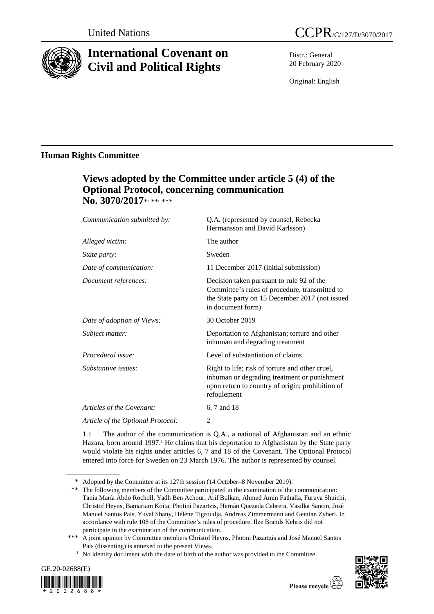

# **International Covenant on Civil and Political Rights**

Distr.: General 20 February 2020

Original: English

## **Human Rights Committee**

# **Views adopted by the Committee under article 5 (4) of the Optional Protocol, concerning communication**  No. 3070/2017\*<sub>\*\*\*\*</sub>

| Q.A. (represented by counsel, Rebecka<br>Hermansson and David Karlsson)                                                                                             |
|---------------------------------------------------------------------------------------------------------------------------------------------------------------------|
| The author                                                                                                                                                          |
| Sweden                                                                                                                                                              |
| 11 December 2017 (initial submission)                                                                                                                               |
| Decision taken pursuant to rule 92 of the<br>Committee's rules of procedure, transmitted to<br>the State party on 15 December 2017 (not issued<br>in document form) |
| 30 October 2019                                                                                                                                                     |
| Deportation to Afghanistan; torture and other<br>inhuman and degrading treatment                                                                                    |
| Level of substantiation of claims                                                                                                                                   |
| Right to life; risk of torture and other cruel,<br>inhuman or degrading treatment or punishment<br>upon return to country of origin; prohibition of<br>refoulement  |
| 6, 7 and 18                                                                                                                                                         |
| 2                                                                                                                                                                   |
|                                                                                                                                                                     |

1.1 The author of the communication is Q.A., a national of Afghanistan and an ethnic Hazara, born around 1997.<sup>1</sup> He claims that his deportation to Afghanistan by the State party would violate his rights under articles 6, 7 and 18 of the Covenant. The Optional Protocol entered into force for Sweden on 23 March 1976. The author is represented by counsel.

<sup>&</sup>lt;sup>1</sup> No identity document with the date of birth of the author was provided to the Committee.





<sup>\*</sup> Adopted by the Committee at its 127th session (14 October–8 November 2019).

<sup>\*\*</sup> The following members of the Committee participated in the examination of the communication: Tania María Abdo Rocholl, Yadh Ben Achour, Arif Bulkan, Ahmed Amin Fathalla, Furuya Shuichi, Christof Heyns, Bamariam Koita, Photini Pazartzis, Hernán Quezada Cabrera, Vasilka Sancin, José Manuel Santos Pais, Yuval Shany, Hélène Tigroudja, Andreas Zimmermann and Gentian Zyberi. In accordance with rule 108 of the Committee's rules of procedure, Ilze Brands Kehris did not participate in the examination of the communication.

<sup>\*\*\*</sup> A joint opinion by Committee members Christof Heyns, Photini Pazartzis and José Manuel Santos Pais (dissenting) is annexed to the present Views.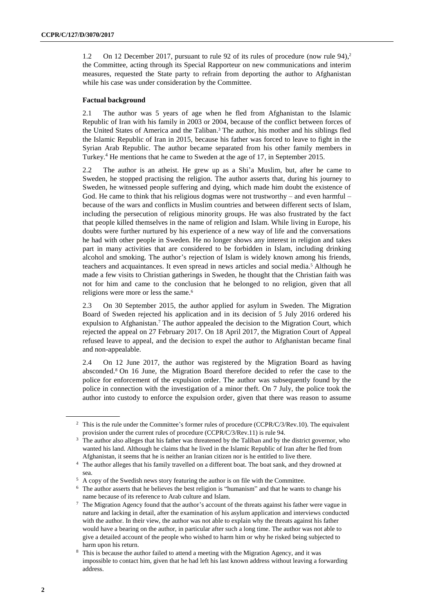1.2 On 12 December 2017, pursuant to rule 92 of its rules of procedure (now rule 94), 2 the Committee, acting through its Special Rapporteur on new communications and interim measures, requested the State party to refrain from deporting the author to Afghanistan while his case was under consideration by the Committee.

#### **Factual background**

2.1 The author was 5 years of age when he fled from Afghanistan to the Islamic Republic of Iran with his family in 2003 or 2004, because of the conflict between forces of the United States of America and the Taliban.<sup>3</sup> The author, his mother and his siblings fled the Islamic Republic of Iran in 2015, because his father was forced to leave to fight in the Syrian Arab Republic. The author became separated from his other family members in Turkey.<sup>4</sup> He mentions that he came to Sweden at the age of 17, in September 2015.

2.2 The author is an atheist. He grew up as a Shi'a Muslim, but, after he came to Sweden, he stopped practising the religion. The author asserts that, during his journey to Sweden, he witnessed people suffering and dying, which made him doubt the existence of God. He came to think that his religious dogmas were not trustworthy – and even harmful – because of the wars and conflicts in Muslim countries and between different sects of Islam, including the persecution of religious minority groups. He was also frustrated by the fact that people killed themselves in the name of religion and Islam. While living in Europe, his doubts were further nurtured by his experience of a new way of life and the conversations he had with other people in Sweden. He no longer shows any interest in religion and takes part in many activities that are considered to be forbidden in Islam, including drinking alcohol and smoking. The author's rejection of Islam is widely known among his friends, teachers and acquaintances. It even spread in news articles and social media.<sup>5</sup> Although he made a few visits to Christian gatherings in Sweden, he thought that the Christian faith was not for him and came to the conclusion that he belonged to no religion, given that all religions were more or less the same.<sup>6</sup>

2.3 On 30 September 2015, the author applied for asylum in Sweden. The Migration Board of Sweden rejected his application and in its decision of 5 July 2016 ordered his expulsion to Afghanistan.<sup>7</sup> The author appealed the decision to the Migration Court, which rejected the appeal on 27 February 2017. On 18 April 2017, the Migration Court of Appeal refused leave to appeal, and the decision to expel the author to Afghanistan became final and non-appealable.

2.4 On 12 June 2017, the author was registered by the Migration Board as having absconded.<sup>8</sup> On 16 June, the Migration Board therefore decided to refer the case to the police for enforcement of the expulsion order. The author was subsequently found by the police in connection with the investigation of a minor theft. On 7 July, the police took the author into custody to enforce the expulsion order, given that there was reason to assume

<sup>&</sup>lt;sup>2</sup> This is the rule under the Committee's former rules of procedure (CCPR/C/3/Rev.10). The equivalent provision under the current rules of procedure (CCPR/C/3/Rev.11) is rule 94.

<sup>&</sup>lt;sup>3</sup> The author also alleges that his father was threatened by the Taliban and by the district governor, who wanted his land. Although he claims that he lived in the Islamic Republic of Iran after he fled from Afghanistan, it seems that he is neither an Iranian citizen nor is he entitled to live there.

<sup>4</sup> The author alleges that his family travelled on a different boat. The boat sank, and they drowned at sea.

<sup>5</sup> A copy of the Swedish news story featuring the author is on file with the Committee.

<sup>6</sup> The author asserts that he believes the best religion is "humanism" and that he wants to change his name because of its reference to Arab culture and Islam.

<sup>7</sup> The Migration Agency found that the author's account of the threats against his father were vague in nature and lacking in detail, after the examination of his asylum application and interviews conducted with the author. In their view, the author was not able to explain why the threats against his father would have a bearing on the author, in particular after such a long time. The author was not able to give a detailed account of the people who wished to harm him or why he risked being subjected to harm upon his return.

<sup>8</sup> This is because the author failed to attend a meeting with the Migration Agency, and it was impossible to contact him, given that he had left his last known address without leaving a forwarding address.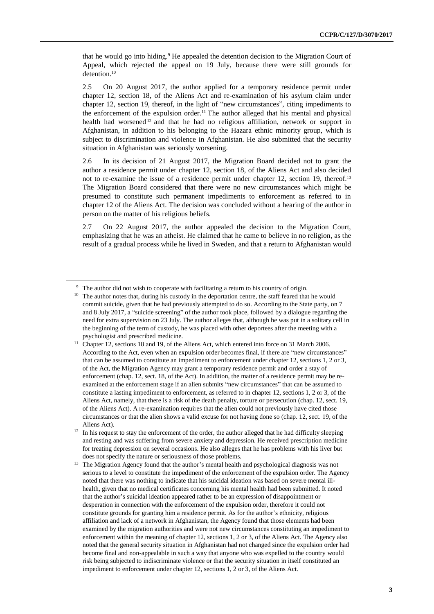that he would go into hiding.<sup>9</sup> He appealed the detention decision to the Migration Court of Appeal, which rejected the appeal on 19 July, because there were still grounds for detention.<sup>10</sup>

2.5 On 20 August 2017, the author applied for a temporary residence permit under chapter 12, section 18, of the Aliens Act and re-examination of his asylum claim under chapter 12, section 19, thereof, in the light of "new circumstances", citing impediments to the enforcement of the expulsion order.<sup>11</sup> The author alleged that his mental and physical health had worsened <sup>12</sup> and that he had no religious affiliation, network or support in Afghanistan, in addition to his belonging to the Hazara ethnic minority group, which is subject to discrimination and violence in Afghanistan. He also submitted that the security situation in Afghanistan was seriously worsening.

2.6 In its decision of 21 August 2017, the Migration Board decided not to grant the author a residence permit under chapter 12, section 18, of the Aliens Act and also decided not to re-examine the issue of a residence permit under chapter 12, section 19, thereof.<sup>13</sup> The Migration Board considered that there were no new circumstances which might be presumed to constitute such permanent impediments to enforcement as referred to in chapter 12 of the Aliens Act. The decision was concluded without a hearing of the author in person on the matter of his religious beliefs.

2.7 On 22 August 2017, the author appealed the decision to the Migration Court, emphasizing that he was an atheist. He claimed that he came to believe in no religion, as the result of a gradual process while he lived in Sweden, and that a return to Afghanistan would

<sup>&</sup>lt;sup>9</sup> The author did not wish to cooperate with facilitating a return to his country of origin.

<sup>&</sup>lt;sup>10</sup> The author notes that, during his custody in the deportation centre, the staff feared that he would commit suicide, given that he had previously attempted to do so. According to the State party, on 7 and 8 July 2017, a "suicide screening" of the author took place, followed by a dialogue regarding the need for extra supervision on 23 July. The author alleges that, although he was put in a solitary cell in the beginning of the term of custody, he was placed with other deportees after the meeting with a psychologist and prescribed medicine.

<sup>&</sup>lt;sup>11</sup> Chapter 12, sections 18 and 19, of the Aliens Act, which entered into force on 31 March 2006. According to the Act, even when an expulsion order becomes final, if there are "new circumstances" that can be assumed to constitute an impediment to enforcement under chapter 12, sections 1, 2 or 3, of the Act, the Migration Agency may grant a temporary residence permit and order a stay of enforcement (chap. 12, sect. 18, of the Act). In addition, the matter of a residence permit may be reexamined at the enforcement stage if an alien submits "new circumstances" that can be assumed to constitute a lasting impediment to enforcement, as referred to in chapter 12, sections 1, 2 or 3, of the Aliens Act, namely, that there is a risk of the death penalty, torture or persecution (chap. 12, sect. 19, of the Aliens Act). A re-examination requires that the alien could not previously have cited those circumstances or that the alien shows a valid excuse for not having done so (chap. 12, sect. 19, of the Aliens Act).

<sup>&</sup>lt;sup>12</sup> In his request to stay the enforcement of the order, the author alleged that he had difficulty sleeping and resting and was suffering from severe anxiety and depression. He received prescription medicine for treating depression on several occasions. He also alleges that he has problems with his liver but does not specify the nature or seriousness of those problems.

<sup>&</sup>lt;sup>13</sup> The Migration Agency found that the author's mental health and psychological diagnosis was not serious to a level to constitute the impediment of the enforcement of the expulsion order. The Agency noted that there was nothing to indicate that his suicidal ideation was based on severe mental illhealth, given that no medical certificates concerning his mental health had been submitted. It noted that the author's suicidal ideation appeared rather to be an expression of disappointment or desperation in connection with the enforcement of the expulsion order, therefore it could not constitute grounds for granting him a residence permit. As for the author's ethnicity, religious affiliation and lack of a network in Afghanistan, the Agency found that those elements had been examined by the migration authorities and were not new circumstances constituting an impediment to enforcement within the meaning of chapter 12, sections 1, 2 or 3, of the Aliens Act. The Agency also noted that the general security situation in Afghanistan had not changed since the expulsion order had become final and non-appealable in such a way that anyone who was expelled to the country would risk being subjected to indiscriminate violence or that the security situation in itself constituted an impediment to enforcement under chapter 12, sections 1, 2 or 3, of the Aliens Act.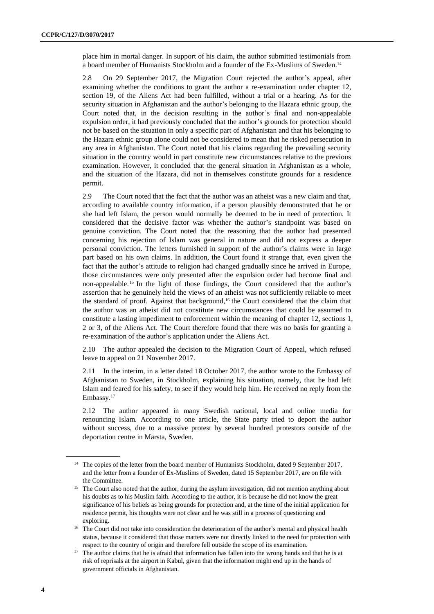place him in mortal danger. In support of his claim, the author submitted testimonials from a board member of Humanists Stockholm and a founder of the Ex-Muslims of Sweden.<sup>14</sup>

2.8 On 29 September 2017, the Migration Court rejected the author's appeal, after examining whether the conditions to grant the author a re-examination under chapter 12, section 19, of the Aliens Act had been fulfilled, without a trial or a hearing. As for the security situation in Afghanistan and the author's belonging to the Hazara ethnic group, the Court noted that, in the decision resulting in the author's final and non-appealable expulsion order, it had previously concluded that the author's grounds for protection should not be based on the situation in only a specific part of Afghanistan and that his belonging to the Hazara ethnic group alone could not be considered to mean that he risked persecution in any area in Afghanistan. The Court noted that his claims regarding the prevailing security situation in the country would in part constitute new circumstances relative to the previous examination. However, it concluded that the general situation in Afghanistan as a whole, and the situation of the Hazara, did not in themselves constitute grounds for a residence permit.

2.9 The Court noted that the fact that the author was an atheist was a new claim and that, according to available country information, if a person plausibly demonstrated that he or she had left Islam, the person would normally be deemed to be in need of protection. It considered that the decisive factor was whether the author's standpoint was based on genuine conviction. The Court noted that the reasoning that the author had presented concerning his rejection of Islam was general in nature and did not express a deeper personal conviction. The letters furnished in support of the author's claims were in large part based on his own claims. In addition, the Court found it strange that, even given the fact that the author's attitude to religion had changed gradually since he arrived in Europe, those circumstances were only presented after the expulsion order had become final and non-appealable. <sup>15</sup> In the light of those findings, the Court considered that the author's assertion that he genuinely held the views of an atheist was not sufficiently reliable to meet the standard of proof. Against that background,<sup>16</sup> the Court considered that the claim that the author was an atheist did not constitute new circumstances that could be assumed to constitute a lasting impediment to enforcement within the meaning of chapter 12, sections 1, 2 or 3, of the Aliens Act. The Court therefore found that there was no basis for granting a re-examination of the author's application under the Aliens Act.

2.10 The author appealed the decision to the Migration Court of Appeal, which refused leave to appeal on 21 November 2017.

2.11 In the interim, in a letter dated 18 October 2017, the author wrote to the Embassy of Afghanistan to Sweden, in Stockholm, explaining his situation, namely, that he had left Islam and feared for his safety, to see if they would help him. He received no reply from the Embassy.<sup>17</sup>

2.12 The author appeared in many Swedish national, local and online media for renouncing Islam. According to one article, the State party tried to deport the author without success, due to a massive protest by several hundred protestors outside of the deportation centre in Märsta, Sweden.

<sup>&</sup>lt;sup>14</sup> The copies of the letter from the board member of Humanists Stockholm, dated 9 September 2017, and the letter from a founder of Ex-Muslims of Sweden, dated 15 September 2017, are on file with the Committee.

<sup>&</sup>lt;sup>15</sup> The Court also noted that the author, during the asylum investigation, did not mention anything about his doubts as to his Muslim faith. According to the author, it is because he did not know the great significance of his beliefs as being grounds for protection and, at the time of the initial application for residence permit, his thoughts were not clear and he was still in a process of questioning and exploring.

<sup>&</sup>lt;sup>16</sup> The Court did not take into consideration the deterioration of the author's mental and physical health status, because it considered that those matters were not directly linked to the need for protection with respect to the country of origin and therefore fell outside the scope of its examination.

<sup>&</sup>lt;sup>17</sup> The author claims that he is afraid that information has fallen into the wrong hands and that he is at risk of reprisals at the airport in Kabul, given that the information might end up in the hands of government officials in Afghanistan.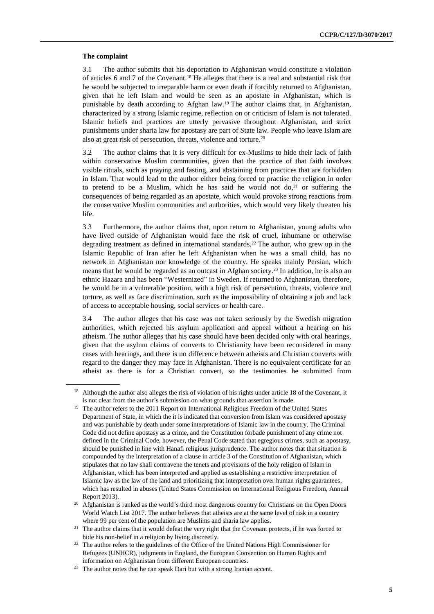#### **The complaint**

3.1 The author submits that his deportation to Afghanistan would constitute a violation of articles 6 and 7 of the Covenant. <sup>18</sup> He alleges that there is a real and substantial risk that he would be subjected to irreparable harm or even death if forcibly returned to Afghanistan, given that he left Islam and would be seen as an apostate in Afghanistan, which is punishable by death according to Afghan law.<sup>19</sup> The author claims that, in Afghanistan, characterized by a strong Islamic regime, reflection on or criticism of Islam is not tolerated. Islamic beliefs and practices are utterly pervasive throughout Afghanistan, and strict punishments under sharia law for apostasy are part of State law. People who leave Islam are also at great risk of persecution, threats, violence and torture.<sup>20</sup>

3.2 The author claims that it is very difficult for ex-Muslims to hide their lack of faith within conservative Muslim communities, given that the practice of that faith involves visible rituals, such as praying and fasting, and abstaining from practices that are forbidden in Islam. That would lead to the author either being forced to practise the religion in order to pretend to be a Muslim, which he has said he would not  $d_0$ , or suffering the consequences of being regarded as an apostate, which would provoke strong reactions from the conservative Muslim communities and authorities, which would very likely threaten his life.

3.3 Furthermore, the author claims that, upon return to Afghanistan, young adults who have lived outside of Afghanistan would face the risk of cruel, inhumane or otherwise degrading treatment as defined in international standards.<sup>22</sup> The author, who grew up in the Islamic Republic of Iran after he left Afghanistan when he was a small child, has no network in Afghanistan nor knowledge of the country. He speaks mainly Persian, which means that he would be regarded as an outcast in Afghan society.<sup>23</sup> In addition, he is also an ethnic Hazara and has been "Westernized" in Sweden. If returned to Afghanistan, therefore, he would be in a vulnerable position, with a high risk of persecution, threats, violence and torture, as well as face discrimination, such as the impossibility of obtaining a job and lack of access to acceptable housing, social services or health care.

3.4 The author alleges that his case was not taken seriously by the Swedish migration authorities, which rejected his asylum application and appeal without a hearing on his atheism. The author alleges that his case should have been decided only with oral hearings, given that the asylum claims of converts to Christianity have been reconsidered in many cases with hearings, and there is no difference between atheists and Christian converts with regard to the danger they may face in Afghanistan. There is no equivalent certificate for an atheist as there is for a Christian convert, so the testimonies he submitted from

<sup>&</sup>lt;sup>18</sup> Although the author also alleges the risk of violation of his rights under article 18 of the Covenant, it is not clear from the author's submission on what grounds that assertion is made.

<sup>&</sup>lt;sup>19</sup> The author refers to the 2011 Report on International Religious Freedom of the United States Department of State, in which the it is indicated that conversion from Islam was considered apostasy and was punishable by death under some interpretations of Islamic law in the country. The Criminal Code did not define apostasy as a crime, and the Constitution forbade punishment of any crime not defined in the Criminal Code, however, the Penal Code stated that egregious crimes, such as apostasy, should be punished in line with Hanafi religious jurisprudence. The author notes that that situation is compounded by the interpretation of a clause in article 3 of the Constitution of Afghanistan, which stipulates that no law shall contravene the tenets and provisions of the holy religion of Islam in Afghanistan, which has been interpreted and applied as establishing a restrictive interpretation of Islamic law as the law of the land and prioritizing that interpretation over human rights guarantees, which has resulted in abuses (United States Commission on International Religious Freedom, Annual Report 2013).

<sup>20</sup> Afghanistan is ranked as the world's third most dangerous country for Christians on the Open Doors World Watch List 2017. The author believes that atheists are at the same level of risk in a country where 99 per cent of the population are Muslims and sharia law applies.

<sup>&</sup>lt;sup>21</sup> The author claims that it would defeat the very right that the Covenant protects, if he was forced to hide his non-belief in a religion by living discreetly.

<sup>&</sup>lt;sup>22</sup> The author refers to the guidelines of the Office of the United Nations High Commissioner for Refugees (UNHCR), judgments in England, the European Convention on Human Rights and information on Afghanistan from different European countries.

<sup>&</sup>lt;sup>23</sup> The author notes that he can speak Dari but with a strong Iranian accent.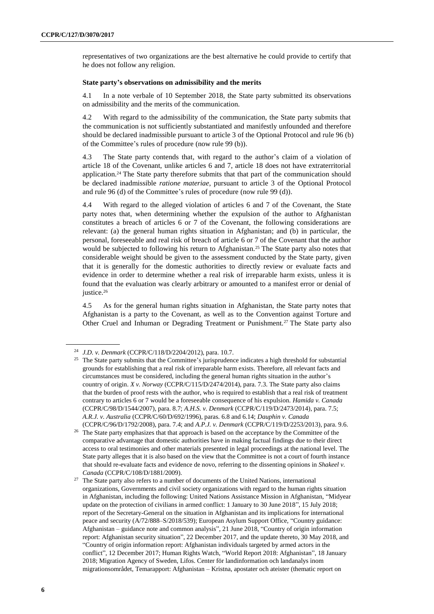representatives of two organizations are the best alternative he could provide to certify that he does not follow any religion.

#### **State party's observations on admissibility and the merits**

4.1 In a note verbale of 10 September 2018, the State party submitted its observations on admissibility and the merits of the communication.

4.2 With regard to the admissibility of the communication, the State party submits that the communication is not sufficiently substantiated and manifestly unfounded and therefore should be declared inadmissible pursuant to article 3 of the Optional Protocol and rule 96 (b) of the Committee's rules of procedure (now rule 99 (b)).

4.3 The State party contends that, with regard to the author's claim of a violation of article 18 of the Covenant, unlike articles 6 and 7, article 18 does not have extraterritorial application.<sup>24</sup> The State party therefore submits that that part of the communication should be declared inadmissible *ratione materiae*, pursuant to article 3 of the Optional Protocol and rule 96 (d) of the Committee's rules of procedure (now rule 99 (d)).

4.4 With regard to the alleged violation of articles 6 and 7 of the Covenant, the State party notes that, when determining whether the expulsion of the author to Afghanistan constitutes a breach of articles 6 or 7 of the Covenant, the following considerations are relevant: (a) the general human rights situation in Afghanistan; and (b) in particular, the personal, foreseeable and real risk of breach of article 6 or 7 of the Covenant that the author would be subjected to following his return to Afghanistan.<sup>25</sup> The State party also notes that considerable weight should be given to the assessment conducted by the State party, given that it is generally for the domestic authorities to directly review or evaluate facts and evidence in order to determine whether a real risk of irreparable harm exists, unless it is found that the evaluation was clearly arbitrary or amounted to a manifest error or denial of justice.<sup>26</sup>

4.5 As for the general human rights situation in Afghanistan, the State party notes that Afghanistan is a party to the Covenant, as well as to the Convention against Torture and Other Cruel and Inhuman or Degrading Treatment or Punishment.<sup>27</sup> The State party also

<sup>24</sup> *J.D. v. Denmark* (CCPR/C/118/D/2204/2012), para. 10.7.

<sup>&</sup>lt;sup>25</sup> The State party submits that the Committee's jurisprudence indicates a high threshold for substantial grounds for establishing that a real risk of irreparable harm exists. Therefore, all relevant facts and circumstances must be considered, including the general human rights situation in the author's country of origin. *X v. Norway* (CCPR/C/115/D/2474/2014), para. 7.3. The State party also claims that the burden of proof rests with the author, who is required to establish that a real risk of treatment contrary to articles 6 or 7 would be a foreseeable consequence of his expulsion. *Hamida v. Canada* (CCPR/C/98/D/1544/2007), para. 8.7; *A.H.S. v. Denmark* (CCPR/C/119/D/2473/2014), para. 7.5; *A.R.J. v. Australia* (CCPR/C/60/D/692/1996), paras. 6.8 and 6.14; *Dauphin v. Canada* (CCPR/C/96/D/1792/2008), para. 7.4; and *A.P.J. v. Denmark* (CCPR/C/119/D/2253/2013), para. 9.6.

<sup>&</sup>lt;sup>26</sup> The State party emphasizes that that approach is based on the acceptance by the Committee of the comparative advantage that domestic authorities have in making factual findings due to their direct access to oral testimonies and other materials presented in legal proceedings at the national level. The State party alleges that it is also based on the view that the Committee is not a court of fourth instance that should re-evaluate facts and evidence de novo, referring to the dissenting opinions in *Shakeel v. Canada* (CCPR/C/108/D/1881/2009).

<sup>&</sup>lt;sup>27</sup> The State party also refers to a number of documents of the United Nations, international organizations, Governments and civil society organizations with regard to the human rights situation in Afghanistan, including the following: United Nations Assistance Mission in Afghanistan, "Midyear update on the protection of civilians in armed conflict: 1 January to 30 June 2018", 15 July 2018; report of the Secretary-General on the situation in Afghanistan and its implications for international peace and security (A/72/888–S/2018/539); European Asylum Support Office, "Country guidance: Afghanistan – guidance note and common analysis", 21 June 2018, "Country of origin information report: Afghanistan security situation", 22 December 2017, and the update thereto, 30 May 2018, and "Country of origin information report: Afghanistan individuals targeted by armed actors in the conflict", 12 December 2017; Human Rights Watch, "World Report 2018: Afghanistan", 18 January 2018; Migration Agency of Sweden, Lifos. Center för landinformation och landanalys inom migrationsområdet, Temarapport: Afghanistan – Kristna, apostater och ateister (thematic report on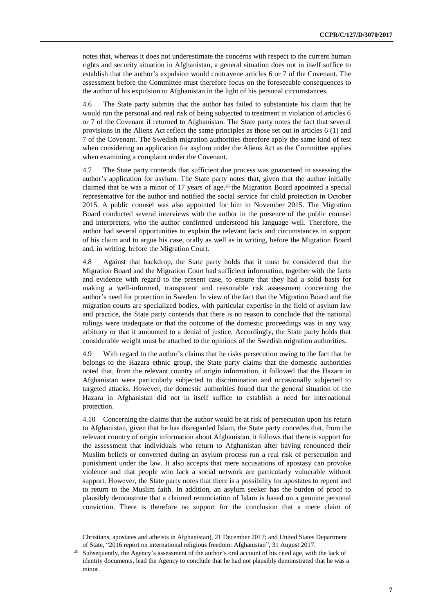notes that, whereas it does not underestimate the concerns with respect to the current human rights and security situation in Afghanistan, a general situation does not in itself suffice to establish that the author's expulsion would contravene articles 6 or 7 of the Covenant. The assessment before the Committee must therefore focus on the foreseeable consequences to the author of his expulsion to Afghanistan in the light of his personal circumstances.

4.6 The State party submits that the author has failed to substantiate his claim that he would run the personal and real risk of being subjected to treatment in violation of articles 6 or 7 of the Covenant if returned to Afghanistan. The State party notes the fact that several provisions in the Aliens Act reflect the same principles as those set out in articles 6 (1) and 7 of the Covenant. The Swedish migration authorities therefore apply the same kind of test when considering an application for asylum under the Aliens Act as the Committee applies when examining a complaint under the Covenant.

4.7 The State party contends that sufficient due process was guaranteed in assessing the author's application for asylum. The State party notes that, given that the author initially claimed that he was a minor of 17 years of age, <sup>28</sup> the Migration Board appointed a special representative for the author and notified the social service for child protection in October 2015. A public counsel was also appointed for him in November 2015. The Migration Board conducted several interviews with the author in the presence of the public counsel and interpreters, who the author confirmed understood his language well. Therefore, the author had several opportunities to explain the relevant facts and circumstances in support of his claim and to argue his case, orally as well as in writing, before the Migration Board and, in writing, before the Migration Court.

4.8 Against that backdrop, the State party holds that it must be considered that the Migration Board and the Migration Court had sufficient information, together with the facts and evidence with regard to the present case, to ensure that they had a solid basis for making a well-informed, transparent and reasonable risk assessment concerning the author's need for protection in Sweden. In view of the fact that the Migration Board and the migration courts are specialized bodies, with particular expertise in the field of asylum law and practice, the State party contends that there is no reason to conclude that the national rulings were inadequate or that the outcome of the domestic proceedings was in any way arbitrary or that it amounted to a denial of justice. Accordingly, the State party holds that considerable weight must be attached to the opinions of the Swedish migration authorities.

4.9 With regard to the author's claims that he risks persecution owing to the fact that he belongs to the Hazara ethnic group, the State party claims that the domestic authorities noted that, from the relevant country of origin information, it followed that the Hazara in Afghanistan were particularly subjected to discrimination and occasionally subjected to targeted attacks. However, the domestic authorities found that the general situation of the Hazara in Afghanistan did not in itself suffice to establish a need for international protection.

4.10 Concerning the claims that the author would be at risk of persecution upon his return to Afghanistan, given that he has disregarded Islam, the State party concedes that, from the relevant country of origin information about Afghanistan, it follows that there is support for the assessment that individuals who return to Afghanistan after having renounced their Muslim beliefs or converted during an asylum process run a real risk of persecution and punishment under the law. It also accepts that mere accusations of apostasy can provoke violence and that people who lack a social network are particularly vulnerable without support. However, the State party notes that there is a possibility for apostates to repent and to return to the Muslim faith. In addition, an asylum seeker has the burden of proof to plausibly demonstrate that a claimed renunciation of Islam is based on a genuine personal conviction. There is therefore no support for the conclusion that a mere claim of

Christians, apostates and atheists in Afghanistan), 21 December 2017; and United States Department of State, "2016 report on international religious freedom: Afghanistan", 31 August 2017.

Subsequently, the Agency's assessment of the author's oral account of his cited age, with the lack of identity documents, lead the Agency to conclude that he had not plausibly demonstrated that he was a minor.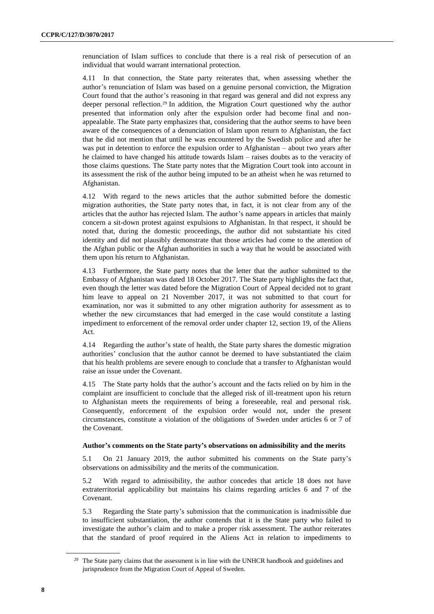renunciation of Islam suffices to conclude that there is a real risk of persecution of an individual that would warrant international protection.

4.11 In that connection, the State party reiterates that, when assessing whether the author's renunciation of Islam was based on a genuine personal conviction, the Migration Court found that the author's reasoning in that regard was general and did not express any deeper personal reflection.<sup>29</sup> In addition, the Migration Court questioned why the author presented that information only after the expulsion order had become final and nonappealable. The State party emphasizes that, considering that the author seems to have been aware of the consequences of a denunciation of Islam upon return to Afghanistan, the fact that he did not mention that until he was encountered by the Swedish police and after he was put in detention to enforce the expulsion order to Afghanistan – about two years after he claimed to have changed his attitude towards Islam – raises doubts as to the veracity of those claims questions. The State party notes that the Migration Court took into account in its assessment the risk of the author being imputed to be an atheist when he was returned to Afghanistan.

4.12 With regard to the news articles that the author submitted before the domestic migration authorities, the State party notes that, in fact, it is not clear from any of the articles that the author has rejected Islam. The author's name appears in articles that mainly concern a sit-down protest against expulsions to Afghanistan. In that respect, it should be noted that, during the domestic proceedings, the author did not substantiate his cited identity and did not plausibly demonstrate that those articles had come to the attention of the Afghan public or the Afghan authorities in such a way that he would be associated with them upon his return to Afghanistan.

4.13 Furthermore, the State party notes that the letter that the author submitted to the Embassy of Afghanistan was dated 18 October 2017. The State party highlights the fact that, even though the letter was dated before the Migration Court of Appeal decided not to grant him leave to appeal on 21 November 2017, it was not submitted to that court for examination, nor was it submitted to any other migration authority for assessment as to whether the new circumstances that had emerged in the case would constitute a lasting impediment to enforcement of the removal order under chapter 12, section 19, of the Aliens Act.

4.14 Regarding the author's state of health, the State party shares the domestic migration authorities' conclusion that the author cannot be deemed to have substantiated the claim that his health problems are severe enough to conclude that a transfer to Afghanistan would raise an issue under the Covenant.

4.15 The State party holds that the author's account and the facts relied on by him in the complaint are insufficient to conclude that the alleged risk of ill-treatment upon his return to Afghanistan meets the requirements of being a foreseeable, real and personal risk. Consequently, enforcement of the expulsion order would not, under the present circumstances, constitute a violation of the obligations of Sweden under articles 6 or 7 of the Covenant.

#### **Author's comments on the State party's observations on admissibility and the merits**

5.1 On 21 January 2019, the author submitted his comments on the State party's observations on admissibility and the merits of the communication.

5.2 With regard to admissibility, the author concedes that article 18 does not have extraterritorial applicability but maintains his claims regarding articles 6 and 7 of the Covenant.

5.3 Regarding the State party's submission that the communication is inadmissible due to insufficient substantiation, the author contends that it is the State party who failed to investigate the author's claim and to make a proper risk assessment. The author reiterates that the standard of proof required in the Aliens Act in relation to impediments to

<sup>&</sup>lt;sup>29</sup> The State party claims that the assessment is in line with the UNHCR handbook and guidelines and jurisprudence from the Migration Court of Appeal of Sweden.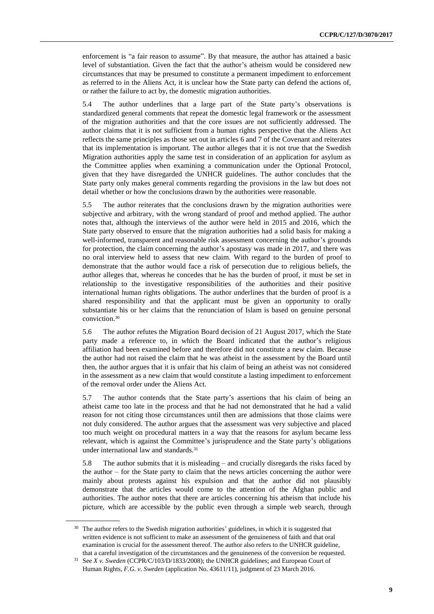enforcement is "a fair reason to assume". By that measure, the author has attained a basic level of substantiation. Given the fact that the author's atheism would be considered new circumstances that may be presumed to constitute a permanent impediment to enforcement as referred to in the Aliens Act, it is unclear how the State party can defend the actions of, or rather the failure to act by, the domestic migration authorities.

5.4 The author underlines that a large part of the State party's observations is standardized general comments that repeat the domestic legal framework or the assessment of the migration authorities and that the core issues are not sufficiently addressed. The author claims that it is not sufficient from a human rights perspective that the Aliens Act reflects the same principles as those set out in articles 6 and 7 of the Covenant and reiterates that its implementation is important. The author alleges that it is not true that the Swedish Migration authorities apply the same test in consideration of an application for asylum as the Committee applies when examining a communication under the Optional Protocol, given that they have disregarded the UNHCR guidelines. The author concludes that the State party only makes general comments regarding the provisions in the law but does not detail whether or how the conclusions drawn by the authorities were reasonable.

5.5 The author reiterates that the conclusions drawn by the migration authorities were subjective and arbitrary, with the wrong standard of proof and method applied. The author notes that, although the interviews of the author were held in 2015 and 2016, which the State party observed to ensure that the migration authorities had a solid basis for making a well-informed, transparent and reasonable risk assessment concerning the author's grounds for protection, the claim concerning the author's apostasy was made in 2017, and there was no oral interview held to assess that new claim. With regard to the burden of proof to demonstrate that the author would face a risk of persecution due to religious beliefs, the author alleges that, whereas he concedes that he has the burden of proof, it must be set in relationship to the investigative responsibilities of the authorities and their positive international human rights obligations. The author underlines that the burden of proof is a shared responsibility and that the applicant must be given an opportunity to orally substantiate his or her claims that the renunciation of Islam is based on genuine personal conviction.<sup>30</sup>

5.6 The author refutes the Migration Board decision of 21 August 2017, which the State party made a reference to, in which the Board indicated that the author's religious affiliation had been examined before and therefore did not constitute a new claim. Because the author had not raised the claim that he was atheist in the assessment by the Board until then, the author argues that it is unfair that his claim of being an atheist was not considered in the assessment as a new claim that would constitute a lasting impediment to enforcement of the removal order under the Aliens Act.

5.7 The author contends that the State party's assertions that his claim of being an atheist came too late in the process and that he had not demonstrated that he had a valid reason for not citing those circumstances until then are admissions that those claims were not duly considered. The author argues that the assessment was very subjective and placed too much weight on procedural matters in a way that the reasons for asylum became less relevant, which is against the Committee's jurisprudence and the State party's obligations under international law and standards. 31

5.8 The author submits that it is misleading – and crucially disregards the risks faced by the author – for the State party to claim that the news articles concerning the author were mainly about protests against his expulsion and that the author did not plausibly demonstrate that the articles would come to the attention of the Afghan public and authorities. The author notes that there are articles concerning his atheism that include his picture, which are accessible by the public even through a simple web search, through

<sup>&</sup>lt;sup>30</sup> The author refers to the Swedish migration authorities' guidelines, in which it is suggested that written evidence is not sufficient to make an assessment of the genuineness of faith and that oral examination is crucial for the assessment thereof. The author also refers to the UNHCR guideline, that a careful investigation of the circumstances and the genuineness of the conversion be requested.

<sup>&</sup>lt;sup>31</sup> See *X v. Sweden* (CCPR/C/103/D/1833/2008); the UNHCR guidelines; and European Court of Human Rights, *F.G. v. Sweden* (application No. 43611/11), judgment of 23 March 2016.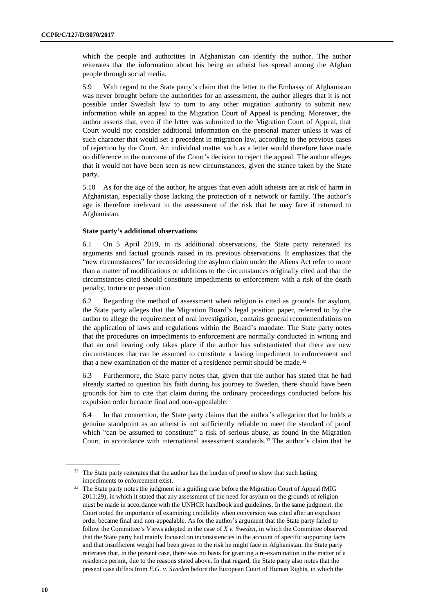which the people and authorities in Afghanistan can identify the author. The author reiterates that the information about his being an atheist has spread among the Afghan people through social media.

5.9 With regard to the State party's claim that the letter to the Embassy of Afghanistan was never brought before the authorities for an assessment, the author alleges that it is not possible under Swedish law to turn to any other migration authority to submit new information while an appeal to the Migration Court of Appeal is pending. Moreover, the author asserts that, even if the letter was submitted to the Migration Court of Appeal, that Court would not consider additional information on the personal matter unless it was of such character that would set a precedent in migration law, according to the previous cases of rejection by the Court. An individual matter such as a letter would therefore have made no difference in the outcome of the Court's decision to reject the appeal. The author alleges that it would not have been seen as new circumstances, given the stance taken by the State party.

5.10 As for the age of the author, he argues that even adult atheists are at risk of harm in Afghanistan, especially those lacking the protection of a network or family. The author's age is therefore irrelevant in the assessment of the risk that he may face if returned to Afghanistan.

#### **State party's additional observations**

6.1 On 5 April 2019, in its additional observations, the State party reiterated its arguments and factual grounds raised in its previous observations. It emphasizes that the "new circumstances" for reconsidering the asylum claim under the Aliens Act refer to more than a matter of modifications or additions to the circumstances originally cited and that the circumstances cited should constitute impediments to enforcement with a risk of the death penalty, torture or persecution.

6.2 Regarding the method of assessment when religion is cited as grounds for asylum, the State party alleges that the Migration Board's legal position paper, referred to by the author to allege the requirement of oral investigation, contains general recommendations on the application of laws and regulations within the Board's mandate. The State party notes that the procedures on impediments to enforcement are normally conducted in writing and that an oral hearing only takes place if the author has substantiated that there are new circumstances that can be assumed to constitute a lasting impediment to enforcement and that a new examination of the matter of a residence permit should be made.<sup>32</sup>

6.3 Furthermore, the State party notes that, given that the author has stated that he had already started to question his faith during his journey to Sweden, there should have been grounds for him to cite that claim during the ordinary proceedings conducted before his expulsion order became final and non-appealable.

6.4 In that connection, the State party claims that the author's allegation that he holds a genuine standpoint as an atheist is not sufficiently reliable to meet the standard of proof which "can be assumed to constitute" a risk of serious abuse, as found in the Migration Court, in accordance with international assessment standards.<sup>33</sup> The author's claim that he

 $32$  The State party reiterates that the author has the burden of proof to show that such lasting impediments to enforcement exist.

<sup>&</sup>lt;sup>33</sup> The State party notes the judgment in a guiding case before the Migration Court of Appeal (MIG 2011:29), in which it stated that any assessment of the need for asylum on the grounds of religion must be made in accordance with the UNHCR handbook and guidelines. In the same judgment, the Court noted the importance of examining credibility when conversion was cited after an expulsion order became final and non-appealable. As for the author's argument that the State party failed to follow the Committee's Views adopted in the case of *X v. Sweden*, in which the Committee observed that the State party had mainly focused on inconsistencies in the account of specific supporting facts and that insufficient weight had been given to the risk he might face in Afghanistan, the State party reiterates that, in the present case, there was no basis for granting a re-examination in the matter of a residence permit, due to the reasons stated above. In that regard, the State party also notes that the present case differs from *F.G. v. Sweden* before the European Court of Human Rights, in which the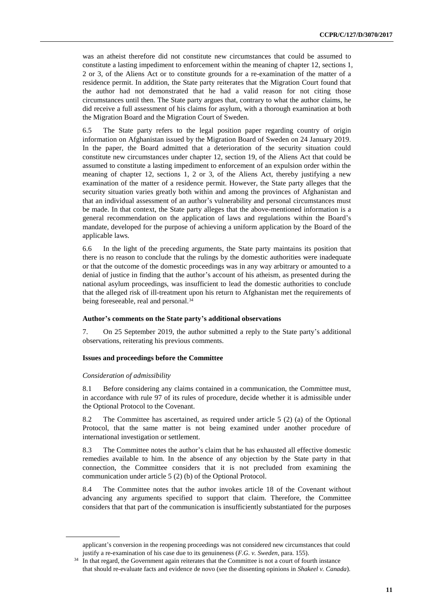was an atheist therefore did not constitute new circumstances that could be assumed to constitute a lasting impediment to enforcement within the meaning of chapter 12, sections 1, 2 or 3, of the Aliens Act or to constitute grounds for a re-examination of the matter of a residence permit. In addition, the State party reiterates that the Migration Court found that the author had not demonstrated that he had a valid reason for not citing those circumstances until then. The State party argues that, contrary to what the author claims, he did receive a full assessment of his claims for asylum, with a thorough examination at both the Migration Board and the Migration Court of Sweden.

6.5 The State party refers to the legal position paper regarding country of origin information on Afghanistan issued by the Migration Board of Sweden on 24 January 2019. In the paper, the Board admitted that a deterioration of the security situation could constitute new circumstances under chapter 12, section 19, of the Aliens Act that could be assumed to constitute a lasting impediment to enforcement of an expulsion order within the meaning of chapter 12, sections 1, 2 or 3, of the Aliens Act, thereby justifying a new examination of the matter of a residence permit. However, the State party alleges that the security situation varies greatly both within and among the provinces of Afghanistan and that an individual assessment of an author's vulnerability and personal circumstances must be made. In that context, the State party alleges that the above-mentioned information is a general recommendation on the application of laws and regulations within the Board's mandate, developed for the purpose of achieving a uniform application by the Board of the applicable laws.

6.6 In the light of the preceding arguments, the State party maintains its position that there is no reason to conclude that the rulings by the domestic authorities were inadequate or that the outcome of the domestic proceedings was in any way arbitrary or amounted to a denial of justice in finding that the author's account of his atheism, as presented during the national asylum proceedings, was insufficient to lead the domestic authorities to conclude that the alleged risk of ill-treatment upon his return to Afghanistan met the requirements of being foreseeable, real and personal.<sup>34</sup>

#### **Author's comments on the State party's additional observations**

7. On 25 September 2019, the author submitted a reply to the State party's additional observations, reiterating his previous comments.

#### **Issues and proceedings before the Committee**

#### *Consideration of admissibility*

8.1 Before considering any claims contained in a communication, the Committee must, in accordance with rule 97 of its rules of procedure, decide whether it is admissible under the Optional Protocol to the Covenant.

8.2 The Committee has ascertained, as required under article 5 (2) (a) of the Optional Protocol, that the same matter is not being examined under another procedure of international investigation or settlement.

8.3 The Committee notes the author's claim that he has exhausted all effective domestic remedies available to him. In the absence of any objection by the State party in that connection, the Committee considers that it is not precluded from examining the communication under article 5 (2) (b) of the Optional Protocol.

8.4 The Committee notes that the author invokes article 18 of the Covenant without advancing any arguments specified to support that claim. Therefore, the Committee considers that that part of the communication is insufficiently substantiated for the purposes

applicant's conversion in the reopening proceedings was not considered new circumstances that could justify a re-examination of his case due to its genuineness (*F.G. v. Sweden*, para. 155).

<sup>&</sup>lt;sup>34</sup> In that regard, the Government again reiterates that the Committee is not a court of fourth instance that should re-evaluate facts and evidence de novo (see the dissenting opinions in *Shakeel v. Canada*).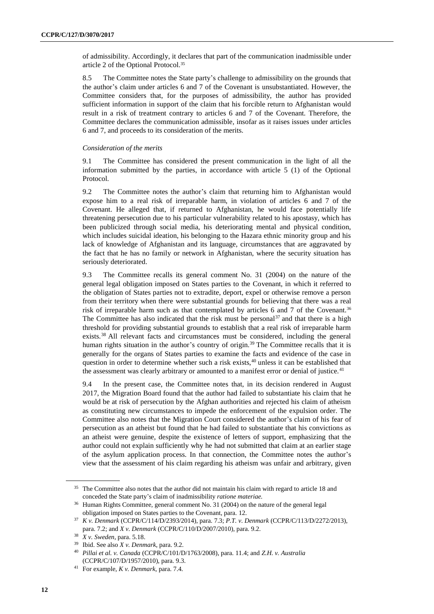of admissibility. Accordingly, it declares that part of the communication inadmissible under article 2 of the Optional Protocol.<sup>35</sup>

8.5 The Committee notes the State party's challenge to admissibility on the grounds that the author's claim under articles 6 and 7 of the Covenant is unsubstantiated. However, the Committee considers that, for the purposes of admissibility, the author has provided sufficient information in support of the claim that his forcible return to Afghanistan would result in a risk of treatment contrary to articles 6 and 7 of the Covenant. Therefore, the Committee declares the communication admissible, insofar as it raises issues under articles 6 and 7, and proceeds to its consideration of the merits.

#### *Consideration of the merits*

9.1 The Committee has considered the present communication in the light of all the information submitted by the parties, in accordance with article 5 (1) of the Optional Protocol.

9.2 The Committee notes the author's claim that returning him to Afghanistan would expose him to a real risk of irreparable harm, in violation of articles 6 and 7 of the Covenant. He alleged that, if returned to Afghanistan, he would face potentially life threatening persecution due to his particular vulnerability related to his apostasy, which has been publicized through social media, his deteriorating mental and physical condition, which includes suicidal ideation, his belonging to the Hazara ethnic minority group and his lack of knowledge of Afghanistan and its language, circumstances that are aggravated by the fact that he has no family or network in Afghanistan, where the security situation has seriously deteriorated.

9.3 The Committee recalls its general comment No. 31 (2004) on the nature of the general legal obligation imposed on States parties to the Covenant, in which it referred to the obligation of States parties not to extradite, deport, expel or otherwise remove a person from their territory when there were substantial grounds for believing that there was a real risk of irreparable harm such as that contemplated by articles 6 and 7 of the Covenant.<sup>36</sup> The Committee has also indicated that the risk must be personal<sup>37</sup> and that there is a high threshold for providing substantial grounds to establish that a real risk of irreparable harm exists.<sup>38</sup> All relevant facts and circumstances must be considered, including the general human rights situation in the author's country of origin.<sup>39</sup> The Committee recalls that it is generally for the organs of States parties to examine the facts and evidence of the case in question in order to determine whether such a risk exists, $40$  unless it can be established that the assessment was clearly arbitrary or amounted to a manifest error or denial of justice.<sup>41</sup>

9.4 In the present case, the Committee notes that, in its decision rendered in August 2017, the Migration Board found that the author had failed to substantiate his claim that he would be at risk of persecution by the Afghan authorities and rejected his claim of atheism as constituting new circumstances to impede the enforcement of the expulsion order. The Committee also notes that the Migration Court considered the author's claim of his fear of persecution as an atheist but found that he had failed to substantiate that his convictions as an atheist were genuine, despite the existence of letters of support, emphasizing that the author could not explain sufficiently why he had not submitted that claim at an earlier stage of the asylum application process. In that connection, the Committee notes the author's view that the assessment of his claim regarding his atheism was unfair and arbitrary, given

<sup>&</sup>lt;sup>35</sup> The Committee also notes that the author did not maintain his claim with regard to article 18 and conceded the State party's claim of inadmissibility *ratione materiae.*

<sup>36</sup> Human Rights Committee, general comment No. 31 (2004) on the nature of the general legal obligation imposed on States parties to the Covenant, para. 12.

<sup>37</sup> *K v. Denmark* (CCPR/C/114/D/2393/2014), para. 7.3; *P.T. v. Denmark* (CCPR/C/113/D/2272/2013), para. 7.2; and *X v. Denmark* (CCPR/C/110/D/2007/2010), para. 9.2.

<sup>38</sup> *X v. Sweden*, para. 5.18.

<sup>39</sup> Ibid. See also *X v. Denmark*, para. 9.2.

<sup>40</sup> *Pillai et al. v. Canada* (CCPR/C/101/D/1763/2008), para. 11.4; and *Z.H. v. Australia* (CCPR/C/107/D/1957/2010), para. 9.3.

<sup>41</sup> For example, *K v. Denmark*, para. 7.4.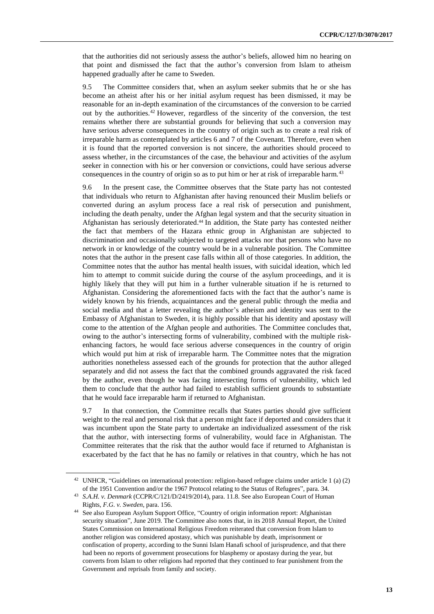that the authorities did not seriously assess the author's beliefs, allowed him no hearing on that point and dismissed the fact that the author's conversion from Islam to atheism happened gradually after he came to Sweden.

9.5 The Committee considers that, when an asylum seeker submits that he or she has become an atheist after his or her initial asylum request has been dismissed, it may be reasonable for an in-depth examination of the circumstances of the conversion to be carried out by the authorities.<sup>42</sup> However, regardless of the sincerity of the conversion, the test remains whether there are substantial grounds for believing that such a conversion may have serious adverse consequences in the country of origin such as to create a real risk of irreparable harm as contemplated by articles 6 and 7 of the Covenant. Therefore, even when it is found that the reported conversion is not sincere, the authorities should proceed to assess whether, in the circumstances of the case, the behaviour and activities of the asylum seeker in connection with his or her conversion or convictions, could have serious adverse consequences in the country of origin so as to put him or her at risk of irreparable harm.<sup>43</sup>

9.6 In the present case, the Committee observes that the State party has not contested that individuals who return to Afghanistan after having renounced their Muslim beliefs or converted during an asylum process face a real risk of persecution and punishment, including the death penalty, under the Afghan legal system and that the security situation in Afghanistan has seriously deteriorated. <sup>44</sup> In addition, the State party has contested neither the fact that members of the Hazara ethnic group in Afghanistan are subjected to discrimination and occasionally subjected to targeted attacks nor that persons who have no network in or knowledge of the country would be in a vulnerable position. The Committee notes that the author in the present case falls within all of those categories. In addition, the Committee notes that the author has mental health issues, with suicidal ideation, which led him to attempt to commit suicide during the course of the asylum proceedings, and it is highly likely that they will put him in a further vulnerable situation if he is returned to Afghanistan. Considering the aforementioned facts with the fact that the author's name is widely known by his friends, acquaintances and the general public through the media and social media and that a letter revealing the author's atheism and identity was sent to the Embassy of Afghanistan to Sweden, it is highly possible that his identity and apostasy will come to the attention of the Afghan people and authorities. The Committee concludes that, owing to the author's intersecting forms of vulnerability, combined with the multiple riskenhancing factors, he would face serious adverse consequences in the country of origin which would put him at risk of irreparable harm. The Committee notes that the migration authorities nonetheless assessed each of the grounds for protection that the author alleged separately and did not assess the fact that the combined grounds aggravated the risk faced by the author, even though he was facing intersecting forms of vulnerability, which led them to conclude that the author had failed to establish sufficient grounds to substantiate that he would face irreparable harm if returned to Afghanistan.

9.7 In that connection, the Committee recalls that States parties should give sufficient weight to the real and personal risk that a person might face if deported and considers that it was incumbent upon the State party to undertake an individualized assessment of the risk that the author, with intersecting forms of vulnerability, would face in Afghanistan. The Committee reiterates that the risk that the author would face if returned to Afghanistan is exacerbated by the fact that he has no family or relatives in that country, which he has not

<sup>42</sup> UNHCR, "Guidelines on international protection: religion-based refugee claims under article 1 (a) (2) of the 1951 Convention and/or the 1967 Protocol relating to the Status of Refugees", para. 34.

<sup>43</sup> *S.A.H. v. Denmark* (CCPR/C/121/D/2419/2014), para. 11.8. See also European Court of Human Rights, *F.G. v. Sweden*, para. 156.

<sup>44</sup> See also European Asylum Support Office, "Country of origin information report: Afghanistan security situation", June 2019. The Committee also notes that, in its 2018 Annual Report, the United States Commission on International Religious Freedom reiterated that conversion from Islam to another religion was considered apostasy, which was punishable by death, imprisonment or confiscation of property, according to the Sunni Islam Hanafi school of jurisprudence, and that there had been no reports of government prosecutions for blasphemy or apostasy during the year, but converts from Islam to other religions had reported that they continued to fear punishment from the Government and reprisals from family and society.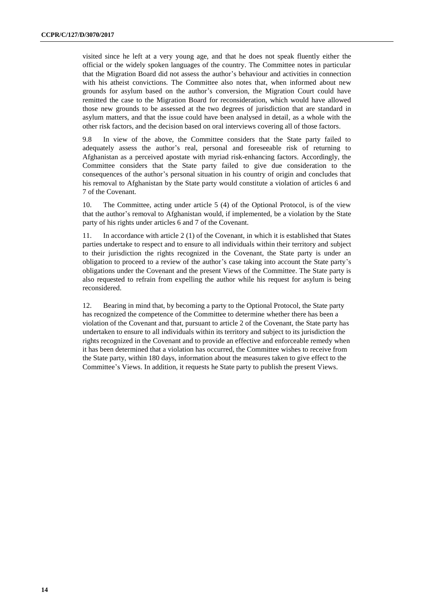visited since he left at a very young age, and that he does not speak fluently either the official or the widely spoken languages of the country. The Committee notes in particular that the Migration Board did not assess the author's behaviour and activities in connection with his atheist convictions. The Committee also notes that, when informed about new grounds for asylum based on the author's conversion, the Migration Court could have remitted the case to the Migration Board for reconsideration, which would have allowed those new grounds to be assessed at the two degrees of jurisdiction that are standard in asylum matters, and that the issue could have been analysed in detail, as a whole with the other risk factors, and the decision based on oral interviews covering all of those factors.

9.8 In view of the above, the Committee considers that the State party failed to adequately assess the author's real, personal and foreseeable risk of returning to Afghanistan as a perceived apostate with myriad risk-enhancing factors. Accordingly, the Committee considers that the State party failed to give due consideration to the consequences of the author's personal situation in his country of origin and concludes that his removal to Afghanistan by the State party would constitute a violation of articles 6 and 7 of the Covenant.

10. The Committee, acting under article 5 (4) of the Optional Protocol, is of the view that the author's removal to Afghanistan would, if implemented, be a violation by the State party of his rights under articles 6 and 7 of the Covenant.

11. In accordance with article 2 (1) of the Covenant, in which it is established that States parties undertake to respect and to ensure to all individuals within their territory and subject to their jurisdiction the rights recognized in the Covenant, the State party is under an obligation to proceed to a review of the author's case taking into account the State party's obligations under the Covenant and the present Views of the Committee. The State party is also requested to refrain from expelling the author while his request for asylum is being reconsidered.

12. Bearing in mind that, by becoming a party to the Optional Protocol, the State party has recognized the competence of the Committee to determine whether there has been a violation of the Covenant and that, pursuant to article 2 of the Covenant, the State party has undertaken to ensure to all individuals within its territory and subject to its jurisdiction the rights recognized in the Covenant and to provide an effective and enforceable remedy when it has been determined that a violation has occurred, the Committee wishes to receive from the State party, within 180 days, information about the measures taken to give effect to the Committee's Views. In addition, it requests he State party to publish the present Views.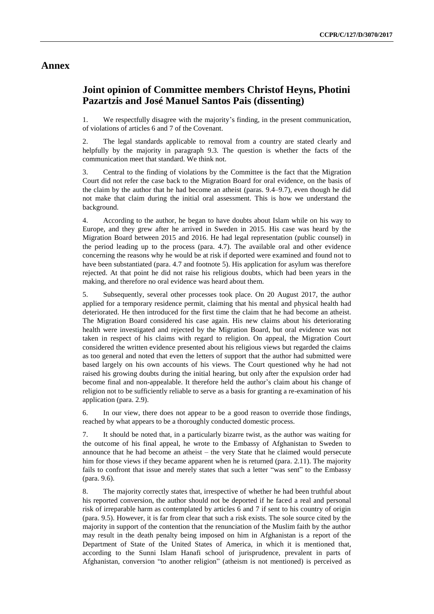### **Annex**

### **Joint opinion of Committee members Christof Heyns, Photini Pazartzis and José Manuel Santos Pais (dissenting)**

1. We respectfully disagree with the majority's finding, in the present communication, of violations of articles 6 and 7 of the Covenant.

The legal standards applicable to removal from a country are stated clearly and helpfully by the majority in paragraph 9.3. The question is whether the facts of the communication meet that standard. We think not.

3. Central to the finding of violations by the Committee is the fact that the Migration Court did not refer the case back to the Migration Board for oral evidence, on the basis of the claim by the author that he had become an atheist (paras. 9.4–9.7), even though he did not make that claim during the initial oral assessment. This is how we understand the background.

4. According to the author, he began to have doubts about Islam while on his way to Europe, and they grew after he arrived in Sweden in 2015. His case was heard by the Migration Board between 2015 and 2016. He had legal representation (public counsel) in the period leading up to the process (para. 4.7). The available oral and other evidence concerning the reasons why he would be at risk if deported were examined and found not to have been substantiated (para. 4.7 and footnote 5). His application for asylum was therefore rejected. At that point he did not raise his religious doubts, which had been years in the making, and therefore no oral evidence was heard about them.

5. Subsequently, several other processes took place. On 20 August 2017, the author applied for a temporary residence permit, claiming that his mental and physical health had deteriorated. He then introduced for the first time the claim that he had become an atheist. The Migration Board considered his case again. His new claims about his deteriorating health were investigated and rejected by the Migration Board, but oral evidence was not taken in respect of his claims with regard to religion. On appeal, the Migration Court considered the written evidence presented about his religious views but regarded the claims as too general and noted that even the letters of support that the author had submitted were based largely on his own accounts of his views. The Court questioned why he had not raised his growing doubts during the initial hearing, but only after the expulsion order had become final and non-appealable. It therefore held the author's claim about his change of religion not to be sufficiently reliable to serve as a basis for granting a re-examination of his application (para. 2.9).

6. In our view, there does not appear to be a good reason to override those findings, reached by what appears to be a thoroughly conducted domestic process.

7. It should be noted that, in a particularly bizarre twist, as the author was waiting for the outcome of his final appeal, he wrote to the Embassy of Afghanistan to Sweden to announce that he had become an atheist – the very State that he claimed would persecute him for those views if they became apparent when he is returned (para. 2.11). The majority fails to confront that issue and merely states that such a letter "was sent" to the Embassy (para. 9.6).

8. The majority correctly states that, irrespective of whether he had been truthful about his reported conversion, the author should not be deported if he faced a real and personal risk of irreparable harm as contemplated by articles 6 and 7 if sent to his country of origin (para. 9.5). However, it is far from clear that such a risk exists. The sole source cited by the majority in support of the contention that the renunciation of the Muslim faith by the author may result in the death penalty being imposed on him in Afghanistan is a report of the Department of State of the United States of America, in which it is mentioned that, according to the Sunni Islam Hanafi school of jurisprudence, prevalent in parts of Afghanistan, conversion "to another religion" (atheism is not mentioned) is perceived as